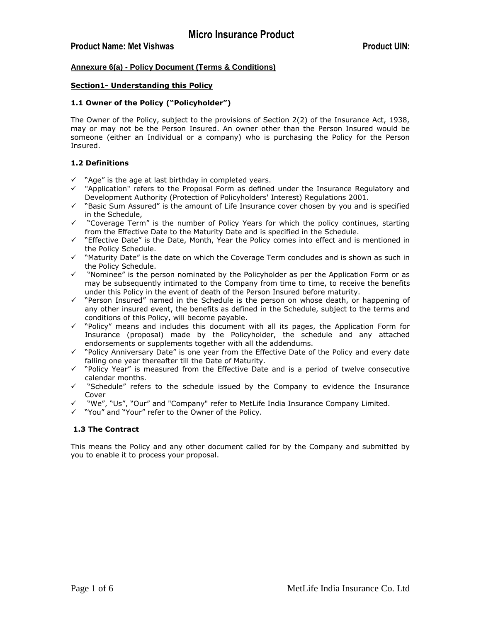## **Annexure 6(a) - Policy Document (Terms & Conditions)**

#### **Section1- Understanding this Policy**

#### **1.1 Owner of the Policy ("Policyholder")**

The Owner of the Policy, subject to the provisions of Section 2(2) of the Insurance Act, 1938, may or may not be the Person Insured. An owner other than the Person Insured would be someone (either an Individual or a company) who is purchasing the Policy for the Person Insured.

#### **1.2 Definitions**

- $\checkmark$  "Age" is the age at last birthday in completed years.
- $\checkmark$  "Application" refers to the Proposal Form as defined under the Insurance Requlatory and Development Authority (Protection of Policyholders' Interest) Regulations 2001.
- $\checkmark$  "Basic Sum Assured" is the amount of Life Insurance cover chosen by you and is specified in the Schedule,
- "Coverage Term" is the number of Policy Years for which the policy continues, starting from the Effective Date to the Maturity Date and is specified in the Schedule.
- $\checkmark$  "Effective Date" is the Date, Month, Year the Policy comes into effect and is mentioned in the Policy Schedule.
- $\checkmark$  "Maturity Date" is the date on which the Coverage Term concludes and is shown as such in the Policy Schedule.
- $\checkmark$  "Nominee" is the person nominated by the Policyholder as per the Application Form or as may be subsequently intimated to the Company from time to time, to receive the benefits under this Policy in the event of death of the Person Insured before maturity.
- "Person Insured" named in the Schedule is the person on whose death, or happening of any other insured event, the benefits as defined in the Schedule, subject to the terms and conditions of this Policy, will become payable.
- $\checkmark$  "Policy" means and includes this document with all its pages, the Application Form for Insurance (proposal) made by the Policyholder, the schedule and any attached endorsements or supplements together with all the addendums.
- $\checkmark$  "Policy Anniversary Date" is one year from the Effective Date of the Policy and every date falling one year thereafter till the Date of Maturity.
- $\checkmark$  "Policy Year" is measured from the Effective Date and is a period of twelve consecutive calendar months.
- "Schedule" refers to the schedule issued by the Company to evidence the Insurance Cover
- "We", "Us", "Our" and "Company" refer to MetLife India Insurance Company Limited.
- "You" and "Your" refer to the Owner of the Policy.

### **1.3 The Contract**

This means the Policy and any other document called for by the Company and submitted by you to enable it to process your proposal.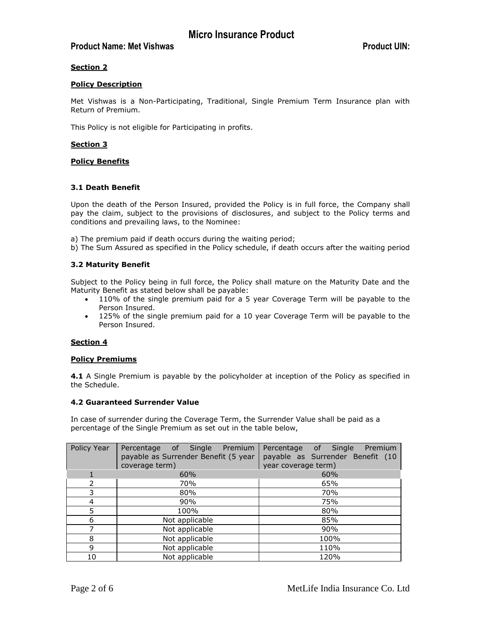# **Product Name: Met Vishwas <b>Product UIN:** Product UIN:

# **Section 2**

### **Policy Description**

Met Vishwas is a Non-Participating, Traditional, Single Premium Term Insurance plan with Return of Premium.

This Policy is not eligible for Participating in profits.

## **Section 3**

### **Policy Benefits**

## **3.1 Death Benefit**

Upon the death of the Person Insured, provided the Policy is in full force, the Company shall pay the claim, subject to the provisions of disclosures, and subject to the Policy terms and conditions and prevailing laws, to the Nominee:

a) The premium paid if death occurs during the waiting period;

b) The Sum Assured as specified in the Policy schedule, if death occurs after the waiting period

## **3.2 Maturity Benefit**

Subject to the Policy being in full force, the Policy shall mature on the Maturity Date and the Maturity Benefit as stated below shall be payable:

- 110% of the single premium paid for a 5 year Coverage Term will be payable to the Person Insured.
- 125% of the single premium paid for a 10 year Coverage Term will be payable to the Person Insured.

### **Section 4**

### **Policy Premiums**

**4.1** A Single Premium is payable by the policyholder at inception of the Policy as specified in the Schedule.

### **4.2 Guaranteed Surrender Value**

In case of surrender during the Coverage Term, the Surrender Value shall be paid as a percentage of the Single Premium as set out in the table below,

| Policy Year | Percentage of Single<br>Premium<br>payable as Surrender Benefit (5 year | Percentage of Single<br>Premium<br>payable as Surrender Benefit (10 |
|-------------|-------------------------------------------------------------------------|---------------------------------------------------------------------|
|             | coverage term)                                                          | year coverage term)                                                 |
|             | 60%                                                                     | 60%                                                                 |
|             | 70%                                                                     | 65%                                                                 |
| 3           | 80%                                                                     | 70%                                                                 |
| 4           | 90%                                                                     | 75%                                                                 |
| 5.          | 100%                                                                    | 80%                                                                 |
| 6           | Not applicable                                                          | 85%                                                                 |
|             | Not applicable                                                          | 90%                                                                 |
| 8           | Not applicable                                                          | 100%                                                                |
| 9           | Not applicable                                                          | 110%                                                                |
| 10          | Not applicable                                                          | 120%                                                                |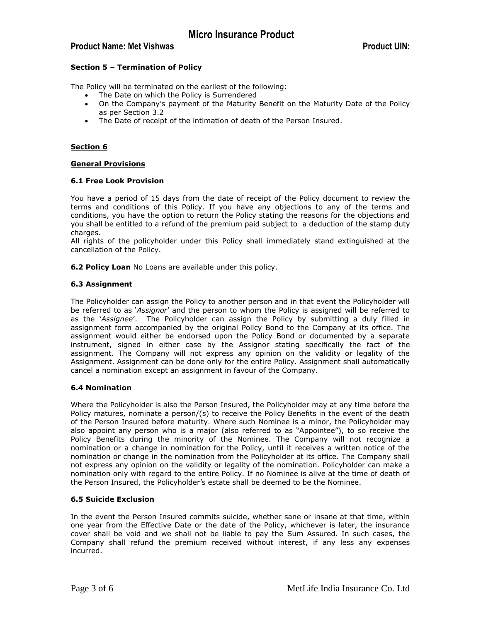# **Product Name: Met Vishwas <b>Product UIN:** Product UIN:

### **Section 5 – Termination of Policy**

The Policy will be terminated on the earliest of the following:

- The Date on which the Policy is Surrendered
- On the Company's payment of the Maturity Benefit on the Maturity Date of the Policy as per Section 3.2
- The Date of receipt of the intimation of death of the Person Insured.

## **Section 6**

### **General Provisions**

### **6.1 Free Look Provision**

You have a period of 15 days from the date of receipt of the Policy document to review the terms and conditions of this Policy. If you have any objections to any of the terms and conditions, you have the option to return the Policy stating the reasons for the objections and you shall be entitled to a refund of the premium paid subject to a deduction of the stamp duty charges.

All rights of the policyholder under this Policy shall immediately stand extinguished at the cancellation of the Policy.

**6.2 Policy Loan** No Loans are available under this policy.

## **6.3 Assignment**

The Policyholder can assign the Policy to another person and in that event the Policyholder will be referred to as '*Assignor*' and the person to whom the Policy is assigned will be referred to as the '*Assignee*'. The Policyholder can assign the Policy by submitting a duly filled in assignment form accompanied by the original Policy Bond to the Company at its office. The assignment would either be endorsed upon the Policy Bond or documented by a separate instrument, signed in either case by the Assignor stating specifically the fact of the assignment. The Company will not express any opinion on the validity or legality of the Assignment. Assignment can be done only for the entire Policy. Assignment shall automatically cancel a nomination except an assignment in favour of the Company.

### **6.4 Nomination**

Where the Policyholder is also the Person Insured, the Policyholder may at any time before the Policy matures, nominate a person/(s) to receive the Policy Benefits in the event of the death of the Person Insured before maturity. Where such Nominee is a minor, the Policyholder may also appoint any person who is a major (also referred to as "Appointee"), to so receive the Policy Benefits during the minority of the Nominee. The Company will not recognize a nomination or a change in nomination for the Policy, until it receives a written notice of the nomination or change in the nomination from the Policyholder at its office. The Company shall not express any opinion on the validity or legality of the nomination. Policyholder can make a nomination only with regard to the entire Policy. If no Nominee is alive at the time of death of the Person Insured, the Policyholder's estate shall be deemed to be the Nominee.

### **6.5 Suicide Exclusion**

In the event the Person Insured commits suicide, whether sane or insane at that time, within one year from the Effective Date or the date of the Policy, whichever is later, the insurance cover shall be void and we shall not be liable to pay the Sum Assured. In such cases, the Company shall refund the premium received without interest, if any less any expenses incurred.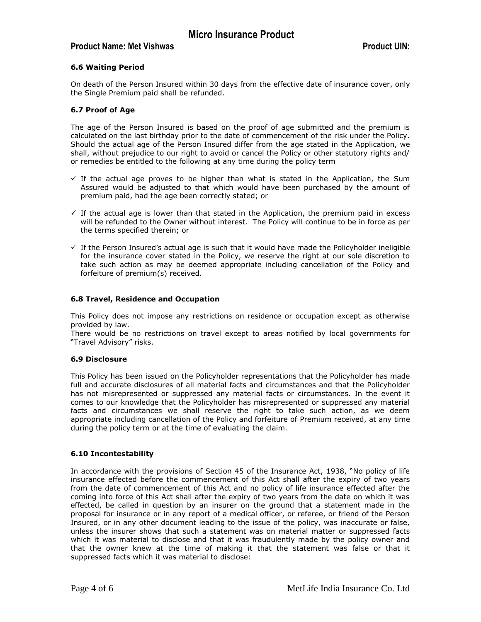# **Product Name: Met Vishwas and Service Services and Services and Product UIN:** Product UIN:

## **6.6 Waiting Period**

On death of the Person Insured within 30 days from the effective date of insurance cover, only the Single Premium paid shall be refunded.

### **6.7 Proof of Age**

The age of the Person Insured is based on the proof of age submitted and the premium is calculated on the last birthday prior to the date of commencement of the risk under the Policy. Should the actual age of the Person Insured differ from the age stated in the Application, we shall, without prejudice to our right to avoid or cancel the Policy or other statutory rights and/ or remedies be entitled to the following at any time during the policy term

- $\checkmark$  If the actual age proves to be higher than what is stated in the Application, the Sum Assured would be adjusted to that which would have been purchased by the amount of premium paid, had the age been correctly stated; or
- $\checkmark$  If the actual age is lower than that stated in the Application, the premium paid in excess will be refunded to the Owner without interest. The Policy will continue to be in force as per the terms specified therein; or
- $\checkmark$  If the Person Insured's actual age is such that it would have made the Policyholder ineligible for the insurance cover stated in the Policy, we reserve the right at our sole discretion to take such action as may be deemed appropriate including cancellation of the Policy and forfeiture of premium(s) received.

### **6.8 Travel, Residence and Occupation**

This Policy does not impose any restrictions on residence or occupation except as otherwise provided by law.

There would be no restrictions on travel except to areas notified by local governments for "Travel Advisory" risks.

### **6.9 Disclosure**

This Policy has been issued on the Policyholder representations that the Policyholder has made full and accurate disclosures of all material facts and circumstances and that the Policyholder has not misrepresented or suppressed any material facts or circumstances. In the event it comes to our knowledge that the Policyholder has misrepresented or suppressed any material facts and circumstances we shall reserve the right to take such action, as we deem appropriate including cancellation of the Policy and forfeiture of Premium received, at any time during the policy term or at the time of evaluating the claim.

### **6.10 Incontestability**

In accordance with the provisions of Section 45 of the Insurance Act, 1938, "No policy of life insurance effected before the commencement of this Act shall after the expiry of two years from the date of commencement of this Act and no policy of life insurance effected after the coming into force of this Act shall after the expiry of two years from the date on which it was effected, be called in question by an insurer on the ground that a statement made in the proposal for insurance or in any report of a medical officer, or referee, or friend of the Person Insured, or in any other document leading to the issue of the policy, was inaccurate or false, unless the insurer shows that such a statement was on material matter or suppressed facts which it was material to disclose and that it was fraudulently made by the policy owner and that the owner knew at the time of making it that the statement was false or that it suppressed facts which it was material to disclose: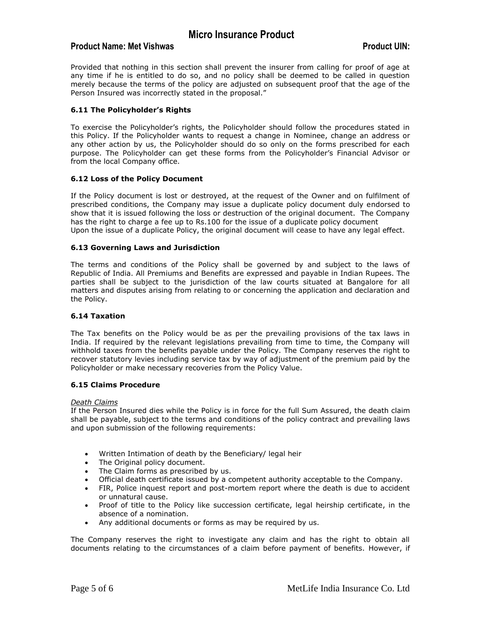# **Product Name: Met Vishwas and Service Contract UIN:** Product UIN:

Provided that nothing in this section shall prevent the insurer from calling for proof of age at any time if he is entitled to do so, and no policy shall be deemed to be called in question merely because the terms of the policy are adjusted on subsequent proof that the age of the Person Insured was incorrectly stated in the proposal."

## **6.11 The Policyholder's Rights**

To exercise the Policyholder's rights, the Policyholder should follow the procedures stated in this Policy. If the Policyholder wants to request a change in Nominee, change an address or any other action by us, the Policyholder should do so only on the forms prescribed for each purpose. The Policyholder can get these forms from the Policyholder's Financial Advisor or from the local Company office.

## **6.12 Loss of the Policy Document**

If the Policy document is lost or destroyed, at the request of the Owner and on fulfilment of prescribed conditions, the Company may issue a duplicate policy document duly endorsed to show that it is issued following the loss or destruction of the original document. The Company has the right to charge a fee up to Rs.100 for the issue of a duplicate policy document Upon the issue of a duplicate Policy, the original document will cease to have any legal effect.

### **6.13 Governing Laws and Jurisdiction**

The terms and conditions of the Policy shall be governed by and subject to the laws of Republic of India. All Premiums and Benefits are expressed and payable in Indian Rupees. The parties shall be subject to the jurisdiction of the law courts situated at Bangalore for all matters and disputes arising from relating to or concerning the application and declaration and the Policy.

### **6.14 Taxation**

The Tax benefits on the Policy would be as per the prevailing provisions of the tax laws in India. If required by the relevant legislations prevailing from time to time, the Company will withhold taxes from the benefits payable under the Policy. The Company reserves the right to recover statutory levies including service tax by way of adjustment of the premium paid by the Policyholder or make necessary recoveries from the Policy Value.

### **6.15 Claims Procedure**

### *Death Claims*

If the Person Insured dies while the Policy is in force for the full Sum Assured, the death claim shall be payable, subject to the terms and conditions of the policy contract and prevailing laws and upon submission of the following requirements:

- Written Intimation of death by the Beneficiary/ legal heir
- The Original policy document.
- The Claim forms as prescribed by us.
- Official death certificate issued by a competent authority acceptable to the Company.
- FIR, Police inquest report and post-mortem report where the death is due to accident or unnatural cause.
- Proof of title to the Policy like succession certificate, legal heirship certificate, in the absence of a nomination.
- Any additional documents or forms as may be required by us.

The Company reserves the right to investigate any claim and has the right to obtain all documents relating to the circumstances of a claim before payment of benefits. However, if